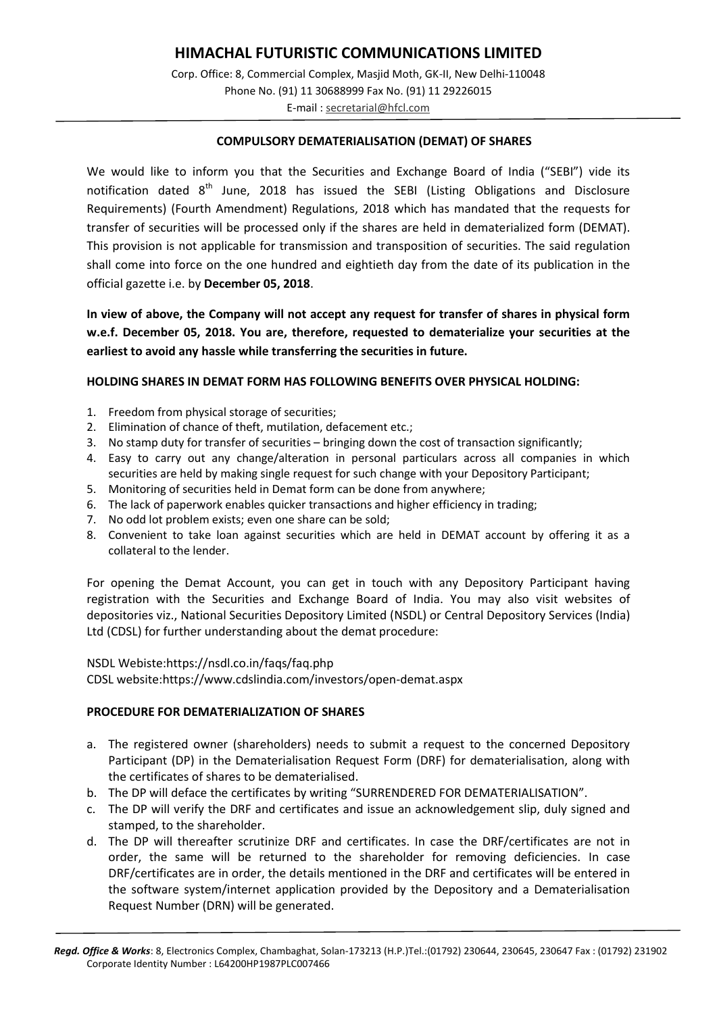# **HIMACHAL FUTURISTIC COMMUNICATIONS LIMITED**

Corp. Office: 8, Commercial Complex, Masjid Moth, GK-II, New Delhi-110048 Phone No. (91) 11 30688999 Fax No. (91) 11 29226015 E-mail [: secretarial@hfcl.com](mailto:secretarial@hfcl.com)

#### **COMPULSORY DEMATERIALISATION (DEMAT) OF SHARES**

We would like to inform you that the Securities and Exchange Board of India ("SEBI") vide its notification dated  $8<sup>th</sup>$  June, 2018 has issued the SEBI (Listing Obligations and Disclosure Requirements) (Fourth Amendment) Regulations, 2018 which has mandated that the requests for transfer of securities will be processed only if the shares are held in dematerialized form (DEMAT). This provision is not applicable for transmission and transposition of securities. The said regulation shall come into force on the one hundred and eightieth day from the date of its publication in the official gazette i.e. by **December 05, 2018**.

**In view of above, the Company will not accept any request for transfer of shares in physical form w.e.f. December 05, 2018. You are, therefore, requested to dematerialize your securities at the earliest to avoid any hassle while transferring the securities in future.**

#### **HOLDING SHARES IN DEMAT FORM HAS FOLLOWING BENEFITS OVER PHYSICAL HOLDING:**

- 1. Freedom from physical storage of securities;
- 2. Elimination of chance of theft, mutilation, defacement etc.;
- 3. No stamp duty for transfer of securities bringing down the cost of transaction significantly;
- 4. Easy to carry out any change/alteration in personal particulars across all companies in which securities are held by making single request for such change with your Depository Participant;
- 5. Monitoring of securities held in Demat form can be done from anywhere;
- 6. The lack of paperwork enables quicker transactions and higher efficiency in trading;
- 7. No odd lot problem exists; even one share can be sold;
- 8. Convenient to take loan against securities which are held in DEMAT account by offering it as a collateral to the lender.

For opening the Demat Account, you can get in touch with any Depository Participant having registration with the Securities and Exchange Board of India. You may also visit websites of depositories viz., National Securities Depository Limited (NSDL) or Central Depository Services (India) Ltd (CDSL) for further understanding about the demat procedure:

#### NSDL Webiste:https://nsdl.co.in/faqs/faq.php

CDSL website:https://www.cdslindia.com/investors/open-demat.aspx

#### **PROCEDURE FOR DEMATERIALIZATION OF SHARES**

- a. The registered owner (shareholders) needs to submit a request to the concerned Depository Participant (DP) in the Dematerialisation Request Form (DRF) for dematerialisation, along with the certificates of shares to be dematerialised.
- b. The DP will deface the certificates by writing "SURRENDERED FOR DEMATERIALISATION".
- c. The DP will verify the DRF and certificates and issue an acknowledgement slip, duly signed and stamped, to the shareholder.
- d. The DP will thereafter scrutinize DRF and certificates. In case the DRF/certificates are not in order, the same will be returned to the shareholder for removing deficiencies. In case DRF/certificates are in order, the details mentioned in the DRF and certificates will be entered in the software system/internet application provided by the Depository and a Dematerialisation Request Number (DRN) will be generated.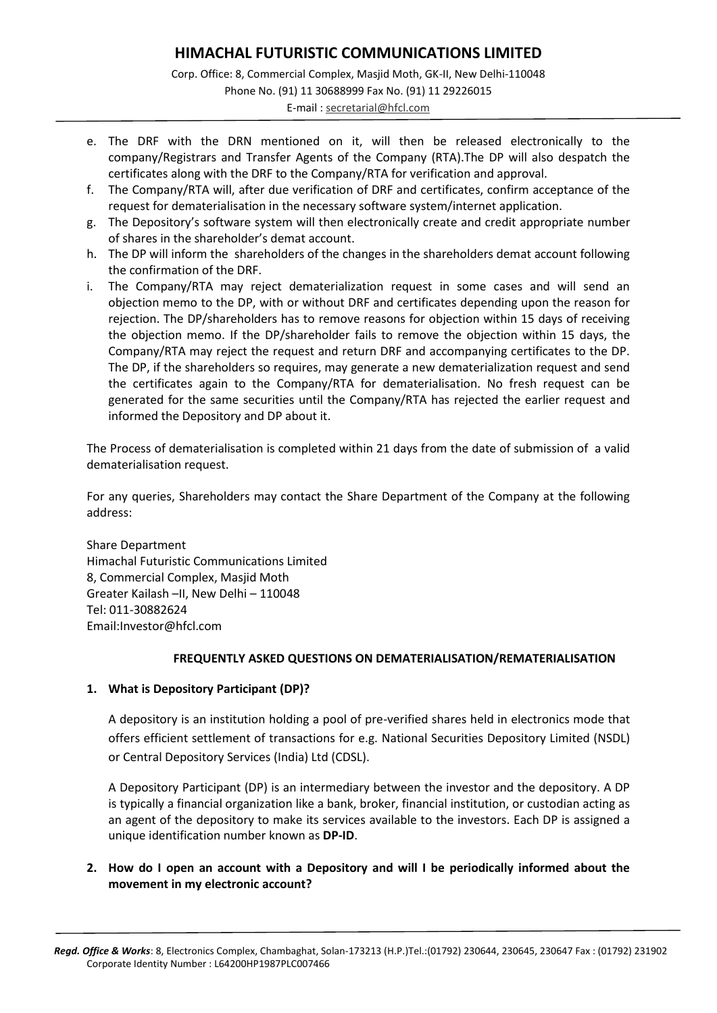## **HIMACHAL FUTURISTIC COMMUNICATIONS LIMITED** Corp. Office: 8, Commercial Complex, Masjid Moth, GK-II, New Delhi-110048 Phone No. (91) 11 30688999 Fax No. (91) 11 29226015 E-mail [: secretarial@hfcl.com](mailto:secretarial@hfcl.com)

- e. The DRF with the DRN mentioned on it, will then be released electronically to the company/Registrars and Transfer Agents of the Company (RTA).The DP will also despatch the certificates along with the DRF to the Company/RTA for verification and approval.
- f. The Company/RTA will, after due verification of DRF and certificates, confirm acceptance of the request for dematerialisation in the necessary software system/internet application.
- g. The Depository's software system will then electronically create and credit appropriate number of shares in the shareholder's demat account.
- h. The DP will inform the shareholders of the changes in the shareholders demat account following the confirmation of the DRF.
- i. The Company/RTA may reject dematerialization request in some cases and will send an objection memo to the DP, with or without DRF and certificates depending upon the reason for rejection. The DP/shareholders has to remove reasons for objection within 15 days of receiving the objection memo. If the DP/shareholder fails to remove the objection within 15 days, the Company/RTA may reject the request and return DRF and accompanying certificates to the DP. The DP, if the shareholders so requires, may generate a new dematerialization request and send the certificates again to the Company/RTA for dematerialisation. No fresh request can be generated for the same securities until the Company/RTA has rejected the earlier request and informed the Depository and DP about it.

The Process of dematerialisation is completed within 21 days from the date of submission of a valid dematerialisation request.

For any queries, Shareholders may contact the Share Department of the Company at the following address:

Share Department Himachal Futuristic Communications Limited 8, Commercial Complex, Masjid Moth Greater Kailash –II, New Delhi – 110048 Tel: 011-30882624 Email:Investor@hfcl.com

## **FREQUENTLY ASKED QUESTIONS ON DEMATERIALISATION/REMATERIALISATION**

## **1. What is Depository Participant (DP)?**

A depository is an institution holding a pool of pre-verified shares held in electronics mode that offers efficient settlement of transactions for e.g. National Securities Depository Limited (NSDL) or Central Depository Services (India) Ltd (CDSL).

A Depository Participant (DP) is an intermediary between the investor and the depository. A DP is typically a financial organization like a bank, broker, financial institution, or custodian acting as an agent of the depository to make its services available to the investors. Each DP is assigned a unique identification number known as **DP-ID**.

## **2. How do I open an account with a Depository and will I be periodically informed about the movement in my electronic account?**